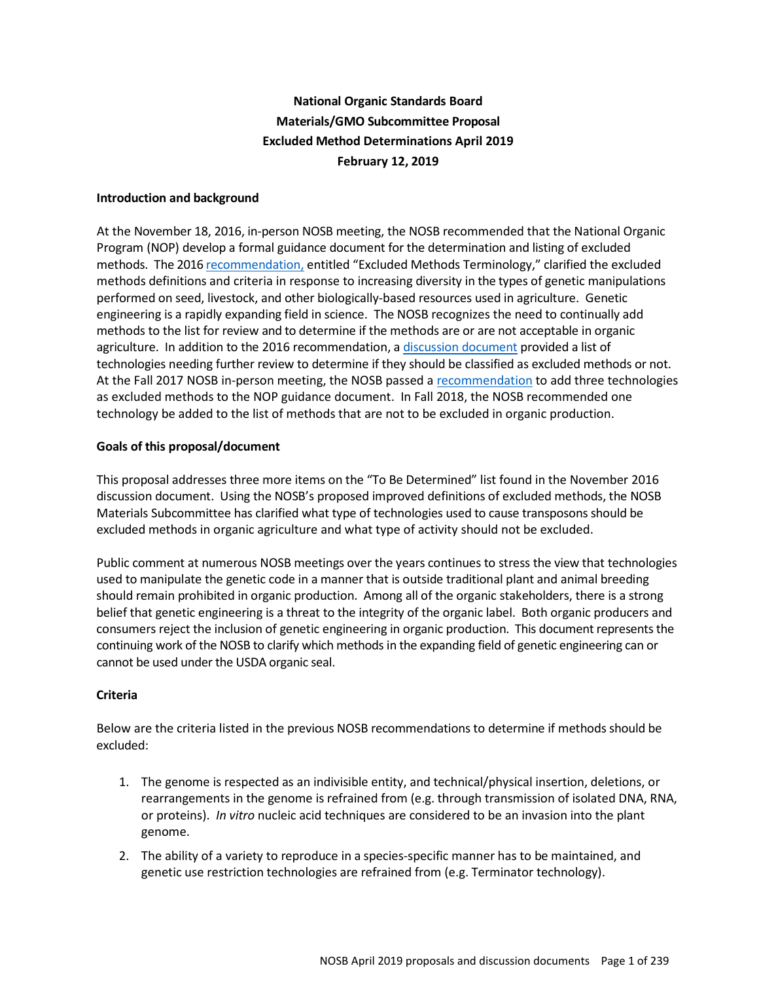# **National Organic Standards Board Materials/GMO Subcommittee Proposal Excluded Method Determinations April 2019 February 12, 2019**

# **Introduction and background**

At the November 18, 2016, in-person NOSB meeting, the NOSB recommended that the National Organic Program (NOP) develop a formal guidance document for the determination and listing of excluded methods. The 2016 recommendation, entitled "Excluded Methods Terminology," clarified the excluded methods definitions and criteria in response to increasing diversity in the types of genetic manipulations performed on seed, livestock, and other biologically-based resources used in agriculture. Genetic engineering is a rapidly expanding field in science. The NOSB recognizes the need to continually add methods to the list for review and to determine if the methods are or are not acceptable in organic agriculture. In addition to the 2016 recommendation, a discussion document provided a list of technologies needing further review to determine if they should be classified as excluded methods or not. At the Fall 2017 NOSB in-person meeting, the NOSB passed a recommendation to add three technologies as excluded methods to the NOP guidance document. In Fall 2018, the NOSB recommended one technology be added to the list of methods that are not to be excluded in organic production.

# **Goals of this proposal/document**

This proposal addresses three more items on the "To Be Determined" list found in the November 2016 discussion document. Using the NOSB's proposed improved definitions of excluded methods, the NOSB Materials Subcommittee has clarified what type of technologies used to cause transposons should be excluded methods in organic agriculture and what type of activity should not be excluded.

Public comment at numerous NOSB meetings over the years continues to stress the view that technologies used to manipulate the genetic code in a manner that is outside traditional plant and animal breeding should remain prohibited in organic production. Among all of the organic stakeholders, there is a strong belief that genetic engineering is a threat to the integrity of the organic label. Both organic producers and consumers reject the inclusion of genetic engineering in organic production. This document represents the continuing work of the NOSB to clarify which methods in the expanding field of genetic engineering can or cannot be used under the USDA organic seal.

# **Criteria**

Below are the criteria listed in the previous NOSB recommendations to determine if methods should be excluded:

- 1. The genome is respected as an indivisible entity, and technical/physical insertion, deletions, or rearrangements in the genome is refrained from (e.g. through transmission of isolated DNA, RNA, or proteins). *In vitro* nucleic acid techniques are considered to be an invasion into the plant genome.
- 2. The ability of a variety to reproduce in a species-specific manner has to be maintained, and genetic use restriction technologies are refrained from (e.g. Terminator technology).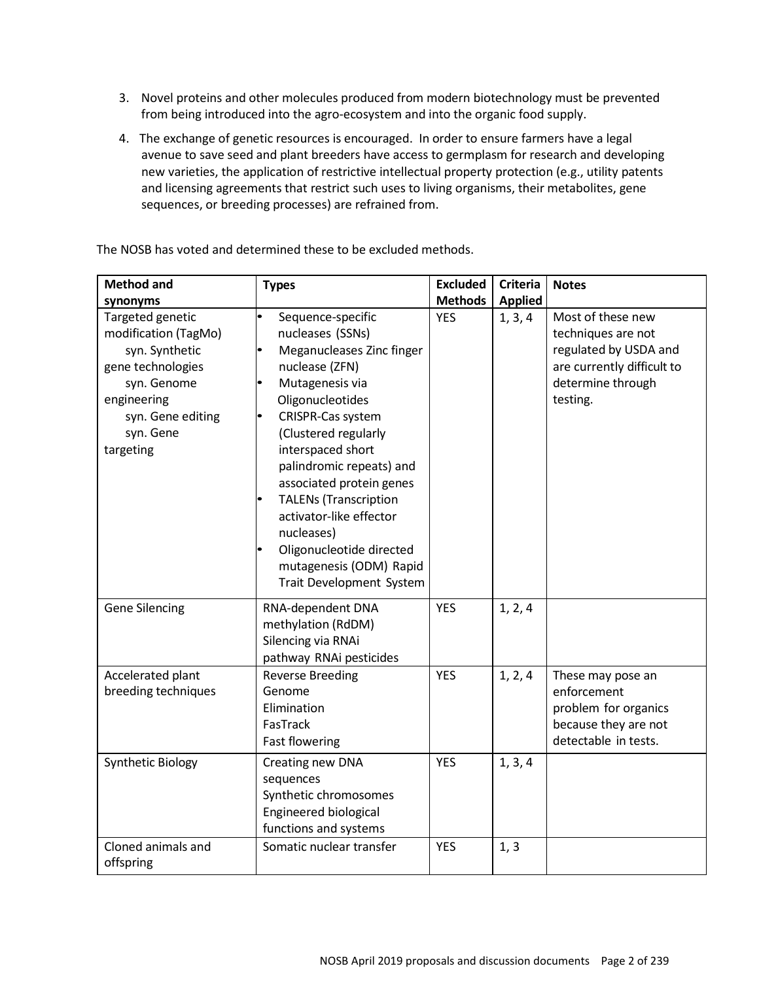- 3. Novel proteins and other molecules produced from modern biotechnology must be prevented from being introduced into the agro-ecosystem and into the organic food supply.
- 4. The exchange of genetic resources is encouraged. In order to ensure farmers have a legal avenue to save seed and plant breeders have access to germplasm for research and developing new varieties, the application of restrictive intellectual property protection (e.g., utility patents and licensing agreements that restrict such uses to living organisms, their metabolites, gene sequences, or breeding processes) are refrained from.

The NOSB has voted and determined these to be excluded methods.

| <b>Method and</b>                                                                                                                                                        | <b>Types</b>                                                                                                                                                                                                                                                                                                                                                                                                                   | <b>Excluded</b>              | <b>Criteria</b>           | <b>Notes</b>                                                                                                                    |
|--------------------------------------------------------------------------------------------------------------------------------------------------------------------------|--------------------------------------------------------------------------------------------------------------------------------------------------------------------------------------------------------------------------------------------------------------------------------------------------------------------------------------------------------------------------------------------------------------------------------|------------------------------|---------------------------|---------------------------------------------------------------------------------------------------------------------------------|
| synonyms<br>Targeted genetic<br>modification (TagMo)<br>syn. Synthetic<br>gene technologies<br>syn. Genome<br>engineering<br>syn. Gene editing<br>syn. Gene<br>targeting | $\bullet$<br>Sequence-specific<br>nucleases (SSNs)<br>Meganucleases Zinc finger<br>nuclease (ZFN)<br>Mutagenesis via<br>Oligonucleotides<br>CRISPR-Cas system<br>(Clustered regularly<br>interspaced short<br>palindromic repeats) and<br>associated protein genes<br><b>TALENs (Transcription</b><br>activator-like effector<br>nucleases)<br>Oligonucleotide directed<br>mutagenesis (ODM) Rapid<br>Trait Development System | <b>Methods</b><br><b>YES</b> | <b>Applied</b><br>1, 3, 4 | Most of these new<br>techniques are not<br>regulated by USDA and<br>are currently difficult to<br>determine through<br>testing. |
| <b>Gene Silencing</b>                                                                                                                                                    | RNA-dependent DNA<br>methylation (RdDM)<br>Silencing via RNAi<br>pathway RNAi pesticides                                                                                                                                                                                                                                                                                                                                       | <b>YES</b>                   | 1, 2, 4                   |                                                                                                                                 |
| Accelerated plant<br>breeding techniques                                                                                                                                 | <b>Reverse Breeding</b><br>Genome<br>Elimination<br>FasTrack<br><b>Fast flowering</b>                                                                                                                                                                                                                                                                                                                                          | <b>YES</b>                   | 1, 2, 4                   | These may pose an<br>enforcement<br>problem for organics<br>because they are not<br>detectable in tests.                        |
| <b>Synthetic Biology</b>                                                                                                                                                 | Creating new DNA<br>sequences<br>Synthetic chromosomes<br>Engineered biological<br>functions and systems                                                                                                                                                                                                                                                                                                                       | <b>YES</b>                   | 1, 3, 4                   |                                                                                                                                 |
| Cloned animals and<br>offspring                                                                                                                                          | Somatic nuclear transfer                                                                                                                                                                                                                                                                                                                                                                                                       | <b>YES</b>                   | 1, 3                      |                                                                                                                                 |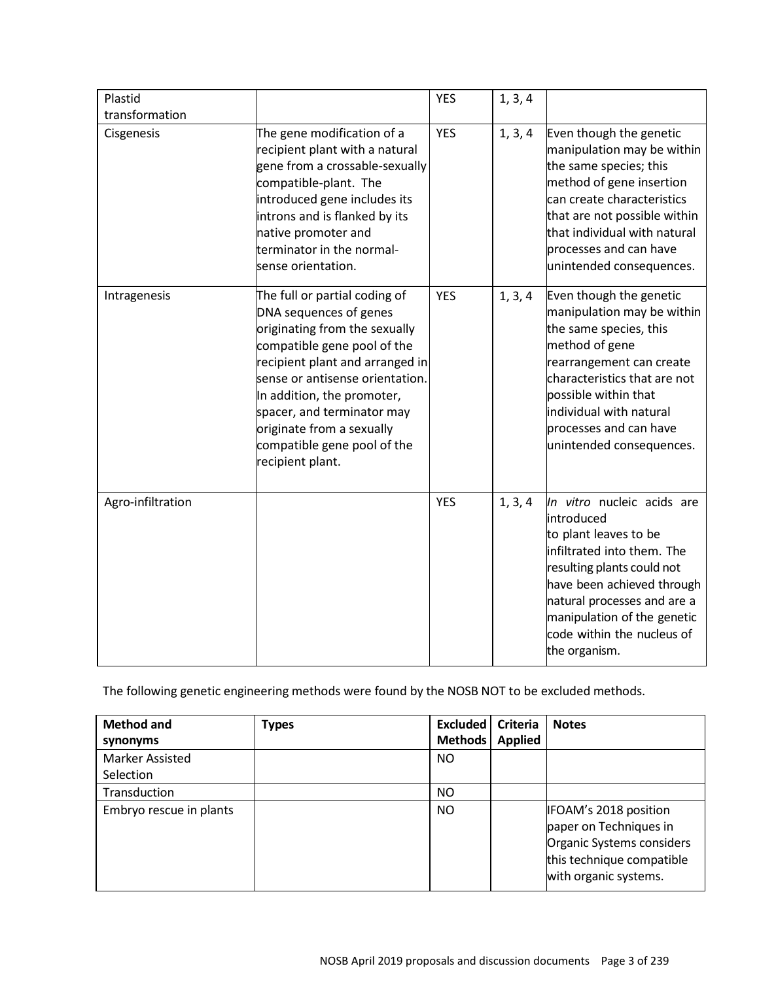| Plastid           |                                                                                                                                                                                                                                                                                                                                           | <b>YES</b> | 1, 3, 4 |                                                                                                                                                                                                                                                                          |
|-------------------|-------------------------------------------------------------------------------------------------------------------------------------------------------------------------------------------------------------------------------------------------------------------------------------------------------------------------------------------|------------|---------|--------------------------------------------------------------------------------------------------------------------------------------------------------------------------------------------------------------------------------------------------------------------------|
| transformation    |                                                                                                                                                                                                                                                                                                                                           |            |         |                                                                                                                                                                                                                                                                          |
| Cisgenesis        | The gene modification of a<br>recipient plant with a natural<br>gene from a crossable-sexually<br>compatible-plant. The<br>introduced gene includes its<br>introns and is flanked by its<br>native promoter and<br>terminator in the normal-<br>sense orientation.                                                                        | <b>YES</b> | 1, 3, 4 | Even though the genetic<br>manipulation may be within<br>the same species; this<br>method of gene insertion<br>can create characteristics<br>that are not possible within<br>that individual with natural<br>processes and can have<br>unintended consequences.          |
| Intragenesis      | The full or partial coding of<br>DNA sequences of genes<br>originating from the sexually<br>compatible gene pool of the<br>recipient plant and arranged in<br>sense or antisense orientation.<br>In addition, the promoter,<br>spacer, and terminator may<br>originate from a sexually<br>compatible gene pool of the<br>recipient plant. | <b>YES</b> | 1, 3, 4 | Even though the genetic<br>manipulation may be within<br>the same species, this<br>method of gene<br>rearrangement can create<br>characteristics that are not<br>possible within that<br>individual with natural<br>processes and can have<br>unintended consequences.   |
| Agro-infiltration |                                                                                                                                                                                                                                                                                                                                           | <b>YES</b> | 1, 3, 4 | In vitro nucleic acids are<br>introduced<br>to plant leaves to be<br>infiltrated into them. The<br>resulting plants could not<br>have been achieved through<br>natural processes and are a<br>manipulation of the genetic<br>code within the nucleus of<br>the organism. |

The following genetic engineering methods were found by the NOSB NOT to be excluded methods.

| <b>Method and</b><br>synonyms       | Types | Excluded  <br>Methods | Criteria<br><b>Applied</b> | <b>Notes</b>                                                                                                                       |
|-------------------------------------|-------|-----------------------|----------------------------|------------------------------------------------------------------------------------------------------------------------------------|
| <b>Marker Assisted</b><br>Selection |       | NO                    |                            |                                                                                                                                    |
| Transduction                        |       | <b>NO</b>             |                            |                                                                                                                                    |
| Embryo rescue in plants             |       | <b>NO</b>             |                            | IFOAM's 2018 position<br>paper on Techniques in<br>Organic Systems considers<br>this technique compatible<br>with organic systems. |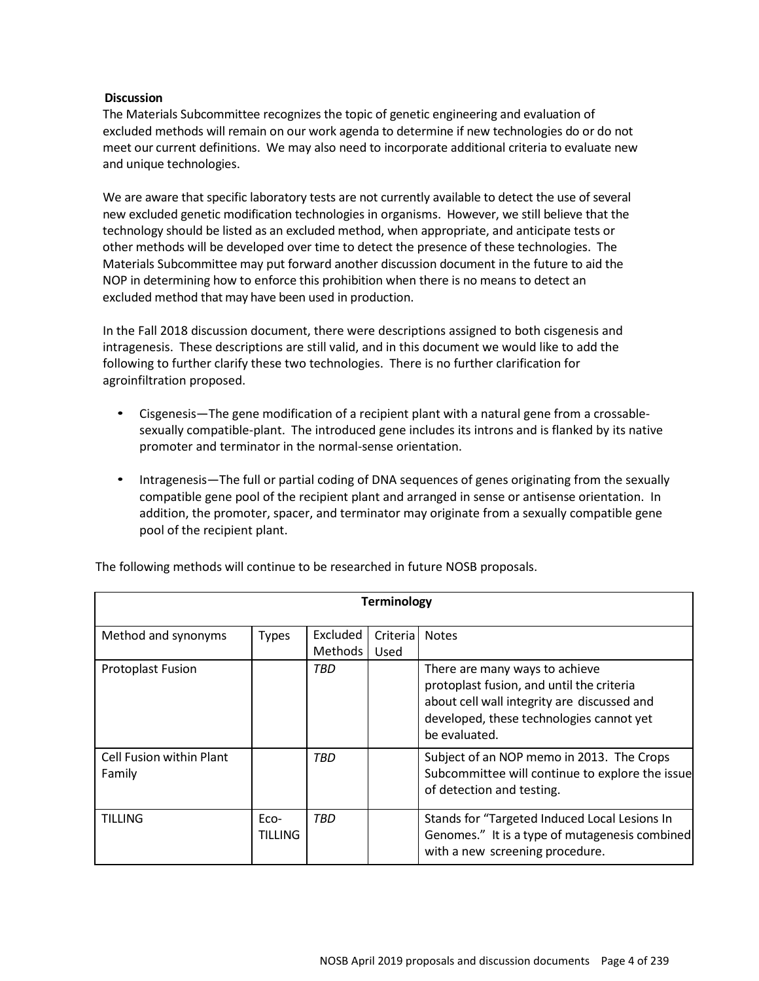# **Discussion**

The Materials Subcommittee recognizes the topic of genetic engineering and evaluation of excluded methods will remain on our work agenda to determine if new technologies do or do not meet our current definitions. We may also need to incorporate additional criteria to evaluate new and unique technologies.

We are aware that specific laboratory tests are not currently available to detect the use of several new excluded genetic modification technologies in organisms. However, we still believe that the technology should be listed as an excluded method, when appropriate, and anticipate tests or other methods will be developed over time to detect the presence of these technologies. The Materials Subcommittee may put forward another discussion document in the future to aid the NOP in determining how to enforce this prohibition when there is no means to detect an excluded method that may have been used in production.

In the Fall 2018 discussion document, there were descriptions assigned to both cisgenesis and intragenesis. These descriptions are still valid, and in this document we would like to add the following to further clarify these two technologies. There is no further clarification for agroinfiltration proposed.

- Cisgenesis—The gene modification of a recipient plant with a natural gene from a crossablesexually compatible-plant. The introduced gene includes its introns and is flanked by its native promoter and terminator in the normal-sense orientation.
- Intragenesis—The full or partial coding of DNA sequences of genes originating from the sexually compatible gene pool of the recipient plant and arranged in sense or antisense orientation. In addition, the promoter, spacer, and terminator may originate from a sexually compatible gene pool of the recipient plant.

| <b>Terminology</b>                        |                        |                            |                  |                                                                                                                                                                                         |  |  |
|-------------------------------------------|------------------------|----------------------------|------------------|-----------------------------------------------------------------------------------------------------------------------------------------------------------------------------------------|--|--|
| Method and synonyms                       | <b>Types</b>           | Excluded<br><b>Methods</b> | Criteria<br>Used | <b>Notes</b>                                                                                                                                                                            |  |  |
| <b>Protoplast Fusion</b>                  |                        | TBD                        |                  | There are many ways to achieve<br>protoplast fusion, and until the criteria<br>about cell wall integrity are discussed and<br>developed, these technologies cannot yet<br>be evaluated. |  |  |
| <b>Cell Fusion within Plant</b><br>Family |                        | TBD                        |                  | Subject of an NOP memo in 2013. The Crops<br>Subcommittee will continue to explore the issue<br>of detection and testing.                                                               |  |  |
| <b>TILLING</b>                            | Eco-<br><b>TILLING</b> | TBD                        |                  | Stands for "Targeted Induced Local Lesions In<br>Genomes." It is a type of mutagenesis combined<br>with a new screening procedure.                                                      |  |  |

The following methods will continue to be researched in future NOSB proposals.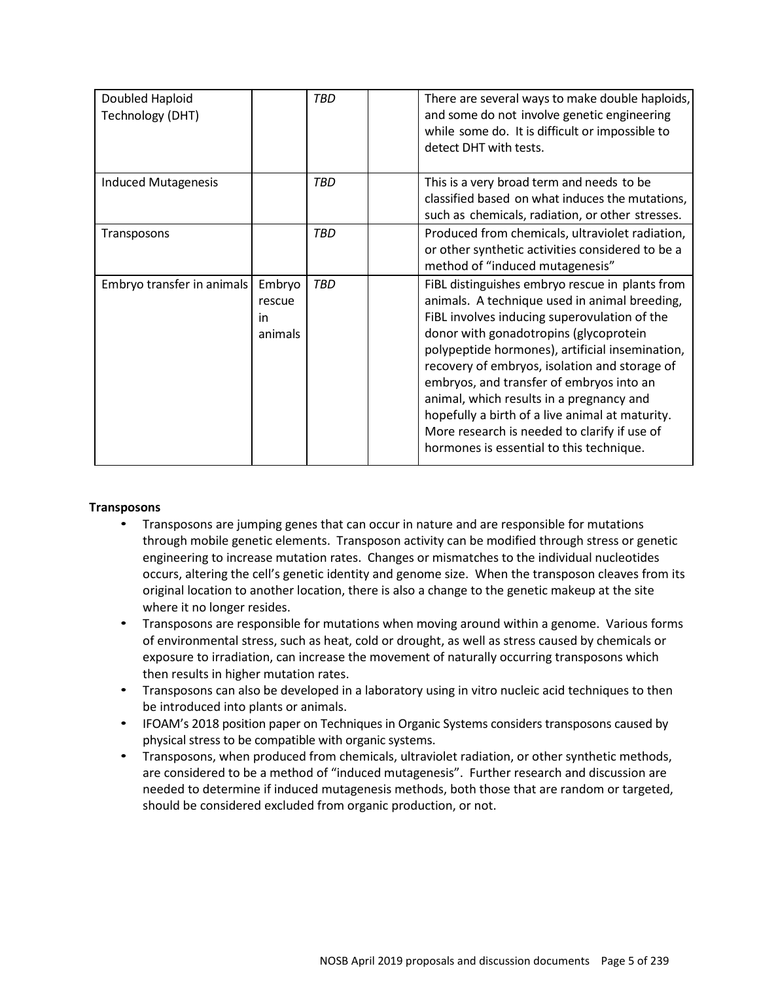| Doubled Haploid<br>Technology (DHT) |                                    | <b>TBD</b> | There are several ways to make double haploids,<br>and some do not involve genetic engineering<br>while some do. It is difficult or impossible to<br>detect DHT with tests.                                                                                                                                                                                                                                                                                                                                                           |
|-------------------------------------|------------------------------------|------------|---------------------------------------------------------------------------------------------------------------------------------------------------------------------------------------------------------------------------------------------------------------------------------------------------------------------------------------------------------------------------------------------------------------------------------------------------------------------------------------------------------------------------------------|
| <b>Induced Mutagenesis</b>          |                                    | <b>TBD</b> | This is a very broad term and needs to be<br>classified based on what induces the mutations,<br>such as chemicals, radiation, or other stresses.                                                                                                                                                                                                                                                                                                                                                                                      |
| Transposons                         |                                    | <b>TBD</b> | Produced from chemicals, ultraviolet radiation,<br>or other synthetic activities considered to be a<br>method of "induced mutagenesis"                                                                                                                                                                                                                                                                                                                                                                                                |
| Embryo transfer in animals          | Embryo<br>rescue<br>in.<br>animals | TBD        | FiBL distinguishes embryo rescue in plants from<br>animals. A technique used in animal breeding,<br>FiBL involves inducing superovulation of the<br>donor with gonadotropins (glycoprotein<br>polypeptide hormones), artificial insemination,<br>recovery of embryos, isolation and storage of<br>embryos, and transfer of embryos into an<br>animal, which results in a pregnancy and<br>hopefully a birth of a live animal at maturity.<br>More research is needed to clarify if use of<br>hormones is essential to this technique. |

# **Transposons**

- Transposons are jumping genes that can occur in nature and are responsible for mutations through mobile genetic elements. Transposon activity can be modified through stress or genetic engineering to increase mutation rates. Changes or mismatches to the individual nucleotides occurs, altering the cell's genetic identity and genome size. When the transposon cleaves from its original location to another location, there is also a change to the genetic makeup at the site where it no longer resides.
- Transposons are responsible for mutations when moving around within a genome. Various forms of environmental stress, such as heat, cold or drought, as well as stress caused by chemicals or exposure to irradiation, can increase the movement of naturally occurring transposons which then results in higher mutation rates.
- Transposons can also be developed in a laboratory using in vitro nucleic acid techniques to then be introduced into plants or animals.
- IFOAM's 2018 position paper on Techniques in Organic Systems considers transposons caused by physical stress to be compatible with organic systems.
- Transposons, when produced from chemicals, ultraviolet radiation, or other synthetic methods, are considered to be a method of "induced mutagenesis". Further research and discussion are needed to determine if induced mutagenesis methods, both those that are random or targeted, should be considered excluded from organic production, or not.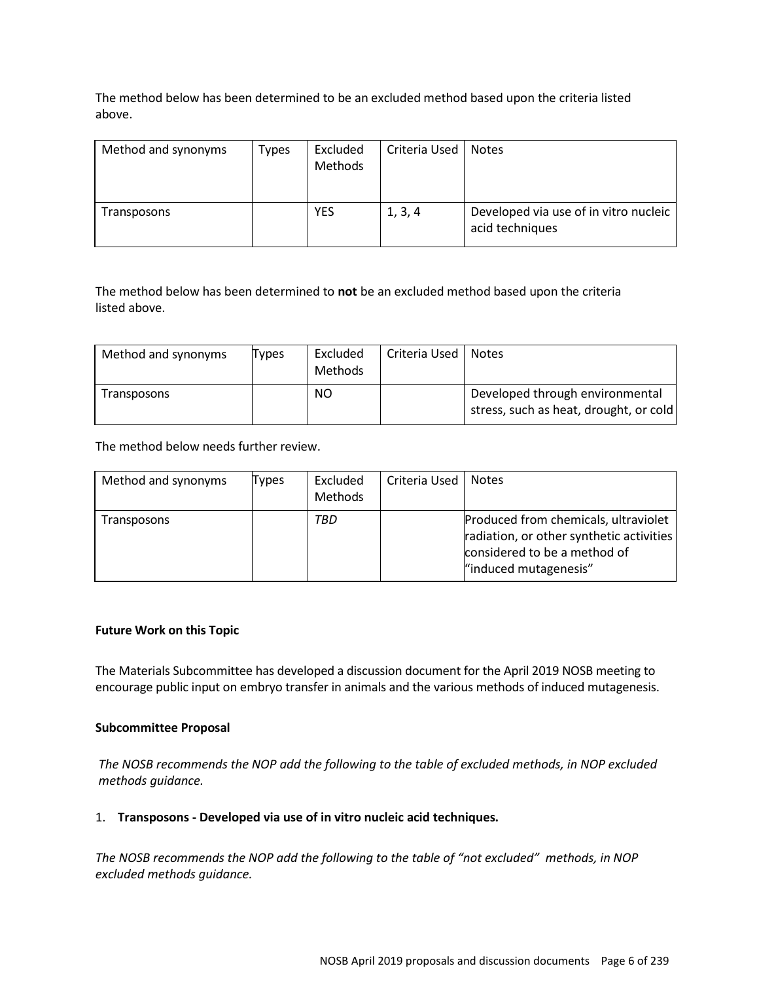The method below has been determined to be an excluded method based upon the criteria listed above.

| Method and synonyms | Types | Excluded<br><b>Methods</b> | Criteria Used | <b>Notes</b>                                             |
|---------------------|-------|----------------------------|---------------|----------------------------------------------------------|
| Transposons         |       | <b>YES</b>                 | 1, 3, 4       | Developed via use of in vitro nucleic<br>acid techniques |

The method below has been determined to **not** be an excluded method based upon the criteria listed above.

| Method and synonyms | Types | Excluded<br>Methods | Criteria Used | <b>Notes</b>                                                              |
|---------------------|-------|---------------------|---------------|---------------------------------------------------------------------------|
| Transposons         |       | NO.                 |               | Developed through environmental<br>stress, such as heat, drought, or cold |

The method below needs further review.

| Method and synonyms | Types | Excluded<br><b>Methods</b> | Criteria Used | <b>Notes</b>                                                                                                                              |
|---------------------|-------|----------------------------|---------------|-------------------------------------------------------------------------------------------------------------------------------------------|
| Transposons         |       | TBD                        |               | Produced from chemicals, ultraviolet<br>radiation, or other synthetic activities<br>considered to be a method of<br>"induced mutagenesis" |

# **Future Work on this Topic**

The Materials Subcommittee has developed a discussion document for the April 2019 NOSB meeting to encourage public input on embryo transfer in animals and the various methods of induced mutagenesis.

# **Subcommittee Proposal**

*The NOSB recommends the NOP add the following to the table of excluded methods, in NOP excluded methods guidance.*

#### 1. **Transposons - Developed via use of in vitro nucleic acid techniques.**

*The NOSB recommends the NOP add the following to the table of "not excluded" methods, in NOP excluded methods guidance.*